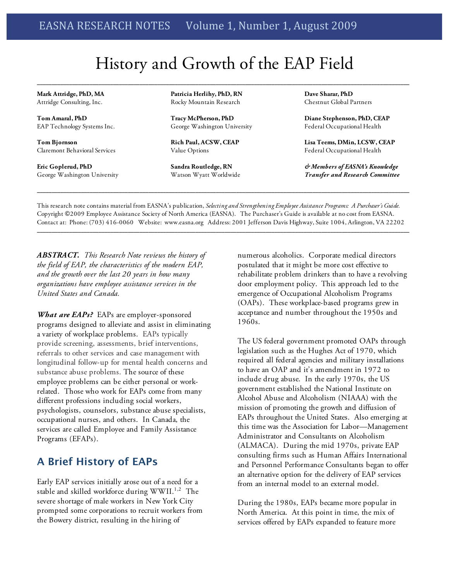# History and Growth of the EAP Field

**\_\_\_\_\_\_\_\_\_\_\_\_\_\_\_\_\_\_\_\_\_\_\_\_\_\_\_\_\_\_\_\_\_\_\_\_\_\_\_\_\_\_\_\_\_\_\_\_\_\_\_\_\_\_\_\_\_\_\_\_\_\_\_\_\_\_\_\_\_\_\_\_\_\_\_\_\_\_\_\_\_\_\_\_\_\_\_\_\_\_\_\_\_\_\_\_\_\_\_\_\_\_\_\_\_\_\_\_\_\_\_\_\_\_\_\_\_\_\_\_\_\_\_\_\_\_\_**

**Mark Attridge, PhD, MA** Attridge Consulting, Inc.

**Tom Amaral, PhD** EAP Technology Systems Inc.

**Tom Bjornson** Claremont Behavioral Services

**Eric Goplerud, PhD** George Washington University **Patricia Herlihy, PhD, RN** Rocky Mountain Research

**Tracy McPherson, PhD** George Washington University

**Rich Paul, ACSW, CEAP** Value Options

**Sandra Routledge, RN** Watson Wyatt Worldwide **Dave Sharar, PhD** Chestnut Global Partners

**Diane Stephenson, PhD, CEAP** Federal Occupational Health

**Lisa Teems, DMin, LCSW, CEAP** Federal Occupational Health

*& Members of EASNA's Knowledge Transfer and Research Committee*

This research note contains material from EASNA's publication, *Selecting and Strengthening Employee Assistance Programs: A Purchaser's Guide.* Copyright ©2009 Employee Assistance Society of North America (EASNA). The Purchaser's Guide is available at no cost from EASNA. Contact at: Phone: (703) 416-0060 Website: www.easna.org Address: 2001 Jefferson Davis Highway, Suite 1004, Arlington, VA 22202 **\_\_\_\_\_\_\_\_\_\_\_\_\_\_\_\_\_\_\_\_\_\_\_\_\_\_\_\_\_\_\_\_\_\_\_\_\_\_\_\_\_\_\_\_\_\_\_\_\_\_\_\_\_\_\_\_\_\_\_\_\_\_\_\_\_\_\_\_\_\_\_\_\_\_\_\_\_\_\_\_\_\_\_\_\_\_\_\_\_\_\_\_\_\_\_\_\_\_\_\_\_\_\_\_\_\_\_\_\_\_\_\_\_\_\_\_\_\_\_\_\_\_\_\_\_\_\_**

**\_\_\_\_\_\_\_\_\_\_\_\_\_\_\_\_\_\_\_\_\_\_\_\_\_\_\_\_\_\_\_\_\_\_\_\_\_\_\_\_\_\_\_\_\_\_\_\_\_\_\_\_\_\_\_\_\_\_\_\_\_\_\_\_\_\_\_\_\_\_\_\_\_\_\_\_\_\_\_\_\_\_\_\_\_\_\_\_\_\_\_\_\_\_\_\_\_\_\_\_\_\_\_\_\_\_\_\_\_\_\_\_\_\_\_\_\_\_\_\_\_\_\_\_\_\_\_**

*ABSTRACT. This Research Note reviews the history of the field of EAP, the characteristics of the modern EAP, and the growth over the last 20 years in how many organizations have employee assistance services in the United States and Canada.* 

*What are EAPs?* EAPs are employer-sponsored programs designed to alleviate and assist in eliminating a variety of workplace problems. EAPs typically provide screening, assessments, brief interventions, referrals to other services and case management with longitudinal follow-up for mental health concerns and substance abuse problems. The source of these employee problems can be either personal or workrelated. Those who work for EAPs come from many different professions including social workers, psychologists, counselors, substance abuse specialists, occupational nurses, and others. In Canada, the services are called Employee and Family Assistance Programs (EFAPs).

#### **A Brief History of EAPs**

Early EAP services initially arose out of a need for a stable and skilled workforce during WWII.<sup>1,2</sup> The severe shortage of male workers in New York City prompted some corporations to recruit workers from the Bowery district, resulting in the hiring of

numerous alcoholics. Corporate medical directors postulated that it might be more cost effective to rehabilitate problem drinkers than to have a revolving door employment policy. This approach led to the emergence of Occupational Alcoholism Programs (OAPs). These workplace-based programs grew in acceptance and number throughout the 1950s and 1960s.

The US federal government promoted OAPs through legislation such as the Hughes Act of 1970, which required all federal agencies and military installations to have an OAP and it's amendment in 1972 to include drug abuse. In the early 1970s, the US government established the National Institute on Alcohol Abuse and Alcoholism (NIAAA) with the mission of promoting the growth and diffusion of EAPs throughout the United States. Also emerging at this time was the Association for Labor—Management Administrator and Consultants on Alcoholism (ALMACA). During the mid 1970s, private EAP consulting firms such as Human Affairs International and Personnel Performance Consultants began to offer an alternative option for the delivery of EAP services from an internal model to an external model.

During the 1980s, EAPs became more popular in North America. At this point in time, the mix of services offered by EAPs expanded to feature more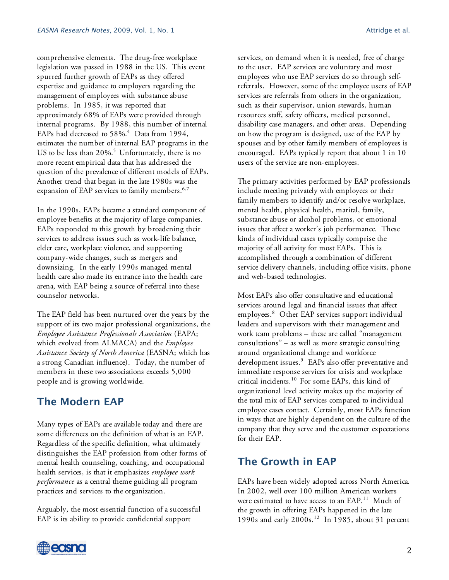comprehensive elements. The drug-free workplace legislation was passed in 1988 in the US. This event spurred further growth of EAPs as they offered expertise and guidance to employers regarding the management of employees with substance abuse problems. In 1985, it was reported that approximately 68% of EAPs were provided through internal programs. By 1988, this number of internal EAPs had decreased to  $58\%$ .<sup>4</sup> Data from 1994, estimates the number of internal EAP programs in the US to be less than  $20\%$ .<sup>5</sup> Unfortunately, there is no more recent empirical data that has addressed the question of the prevalence of different models of EAPs. Another trend that began in the late 1980s was the expansion of EAP services to family members.<sup>6,7</sup>

In the 1990s, EAPs became a standard component of employee benefits at the majority of large companies. EAPs responded to this growth by broadening their services to address issues such as work-life balance, elder care, workplace violence, and supporting company-wide changes, such as mergers and downsizing. In the early 1990s managed mental health care also made its entrance into the health care arena, with EAP being a source of referral into these counselor networks.

The EAP field has been nurtured over the years by the support of its two major professional organizations, the *Employee Assistance Professionals Association* (EAPA; which evolved from ALMACA) and the *Employee Assistance Society of North America* (EASNA; which has a strong Canadian influence). Today, the number of members in these two associations exceeds 5,000 people and is growing worldwide.

## **The Modern EAP**

Many types of EAPs are available today and there are some differences on the definition of what is an EAP. Regardless of the specific definition, what ultimately distinguishes the EAP profession from other forms of mental health counseling, coaching, and occupational health services, is that it emphasizes *employee work performance* as a central theme guiding all program practices and services to the organization.

Arguably, the most essential function of a successful EAP is its ability to provide confidential support

services, on demand when it is needed, free of charge to the user. EAP services are voluntary and most employees who use EAP services do so through selfreferrals. However, some of the employee users of EAP services are referrals from others in the organization, such as their supervisor, union stewards, human resources staff, safety officers, medical personnel, disability case managers, and other areas. Depending on how the program is designed, use of the EAP by spouses and by other family members of employees is encouraged. EAPs typically report that about 1 in 10 users of the service are non-employees.

The primary activities performed by EAP professionals include meeting privately with employees or their family members to identify and/or resolve workplace, mental health, physical health, marital, family, substance abuse or alcohol problems, or emotional issues that affect a worker's job performance. These kinds of individual cases typically comprise the majority of all activity for most EAPs. This is accomplished through a combination of different service delivery channels, including office visits, phone and web-based technologies.

Most EAPs also offer consultative and educational services around legal and financial issues that affect employees. 8 Other EAP services support individual leaders and supervisors with their management and work team problems – these are called "management consultations" – as well as more strategic consulting around organizational change and workforce development issues.<sup>9</sup> EAPs also offer preventative and immediate response services for crisis and workplace critical incidents. 10 For some EAPs, this kind of organizational level activity makes up the majority of the total mix of EAP services compared to individual employee cases contact. Certainly, most EAPs function in ways that are highly dependent on the culture of the company that they serve and the customer expectations for their EAP.

## **The Growth in EAP**

EAPs have been widely adopted across North America. In 2002, well over 100 million American workers were estimated to have access to an EAP.<sup>11</sup> Much of the growth in offering EAPs happened in the late 1990s and early 2000s. 12 In 1985, about 31 percent

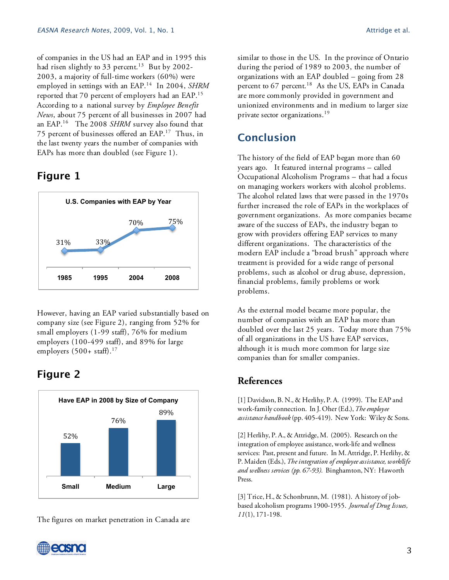of companies in the US had an EAP and in 1995 this had risen slightly to 33 percent. 13 But by 2002- 2003, a majority of full-time workers (60%) were employed in settings with an EAP. 14 In 2004, *SHRM* reported that 70 percent of employers had an EAP.<sup>15</sup> According to a national survey by *Employee Benefit News*, about 75 percent of all businesses in 2007 had an EAP.16 The 2008 *SHRM* survey also found that 75 percent of businesses offered an EAP.<sup>17</sup> Thus, in the last twenty years the number of companies with EAPs has more than doubled (see Figure 1).

# **Figure 1**



However, having an EAP varied substantially based on company size (see Figure 2), ranging from 52% for small employers (1-99 staff), 76% for medium employers (100-499 staff), and 89% for large employers (500+ staff). 17

# **Figure 2**



The figures on market penetration in Canada are

similar to those in the US. In the province of Ontario during the period of 1989 to 2003, the number of organizations with an EAP doubled – going from 28 percent to 67 percent. 18 As the US, EAPs in Canada are more commonly provided in government and unionized environments and in medium to larger size private sector organizations. 19

# **Conclusion**

The history of the field of EAP began more than 60 years ago. It featured internal programs – called Occupational Alcoholism Programs – that had a focus on managing workers workers with alcohol problems. The alcohol related laws that were passed in the 1970s further increased the role of EAPs in the workplaces of government organizations. As more companies became aware of the success of EAPs, the industry began to grow with providers offering EAP services to many different organizations. The characteristics of the modern EAP include a "broad brush" approach where treatment is provided for a wide range of personal problems, such as alcohol or drug abuse, depression, financial problems, family problems or work problems.

As the external model became more popular, the number of companies with an EAP has more than doubled over the last 25 years. Today more than 75% of all organizations in the US have EAP services, although it is much more common for large size companies than for smaller companies.

#### **References**

[1] Davidson, B. N., & Herlihy, P. A. (1999). The EAP and work-family connection. In J. Oher (Ed.), *The employee assistance handbook* (pp. 405-419). New York: Wiley & Sons.

[2] Herlihy, P. A., & Attridge, M. (2005). Research on the integration of employee assistance, work-life and wellness services: Past, present and future. In M. Attridge, P. Herlihy, & P. Maiden (Eds.), *The integration of employee assistance, work/life and wellness services (pp. 67-93).* Binghamton, NY: Haworth Press.

[3] Trice, H., & Schonbrunn, M. (1981). A history of jobbased alcoholism programs 1900-1955. *Journal of Drug Issues, 11*(1), 171-198.